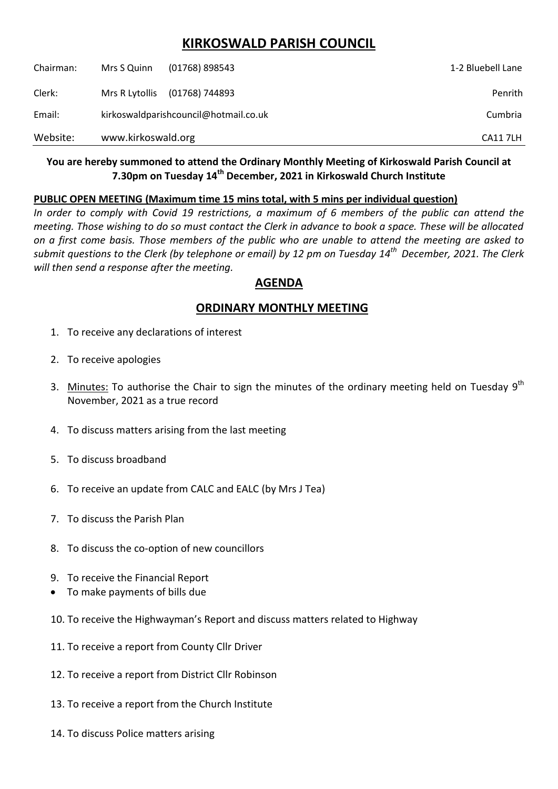# **KIRKOSWALD PARISH COUNCIL**

| Chairman: | Mrs S Quinn                           | $(01768)$ 898543 | 1-2 Bluebell Lane |
|-----------|---------------------------------------|------------------|-------------------|
| Clerk:    | Mrs R Lytollis                        | (01768) 744893   | Penrith           |
| Email:    | kirkoswaldparishcouncil@hotmail.co.uk |                  | Cumbria           |
| Website:  | www.kirkoswald.org                    |                  | <b>CA117LH</b>    |

#### **You are hereby summoned to attend the Ordinary Monthly Meeting of Kirkoswald Parish Council at 7.30pm on Tuesday 14th December, 2021 in Kirkoswald Church Institute**

#### **PUBLIC OPEN MEETING (Maximum time 15 mins total, with 5 mins per individual question)**

*In order to comply with Covid 19 restrictions, a maximum of 6 members of the public can attend the meeting. Those wishing to do so must contact the Clerk in advance to book a space. These will be allocated on a first come basis. Those members of the public who are unable to attend the meeting are asked to submit questions to the Clerk (by telephone or email) by 12 pm on Tuesday 14th December, 2021. The Clerk will then send a response after the meeting.*

### **AGENDA**

## **ORDINARY MONTHLY MEETING**

- 1. To receive any declarations of interest
- 2. To receive apologies
- 3. Minutes: To authorise the Chair to sign the minutes of the ordinary meeting held on Tuesday  $9<sup>th</sup>$ November, 2021 as a true record
- 4. To discuss matters arising from the last meeting
- 5. To discuss broadband
- 6. To receive an update from CALC and EALC (by Mrs J Tea)
- 7. To discuss the Parish Plan
- 8. To discuss the co-option of new councillors
- 9. To receive the Financial Report
- To make payments of bills due
- 10. To receive the Highwayman's Report and discuss matters related to Highway
- 11. To receive a report from County Cllr Driver
- 12. To receive a report from District Cllr Robinson
- 13. To receive a report from the Church Institute
- 14. To discuss Police matters arising